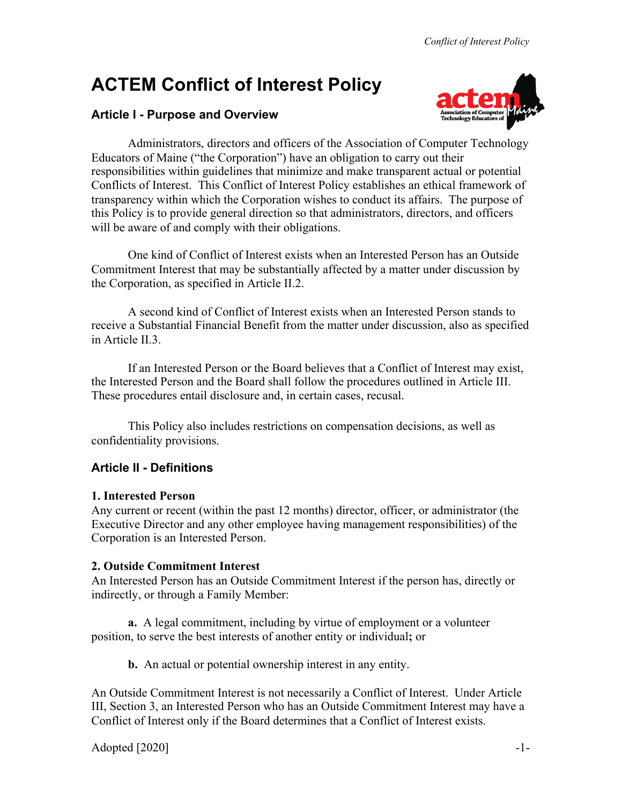# **ACTEM Conflict of Interest Policy**

## **Article I - Purpose and Overview**



Administrators, directors and officers of the Association of Computer Technology Educators of Maine ("the Corporation") have an obligation to carry out their responsibilities within guidelines that minimize and make transparent actual or potential Conflicts of Interest. This Conflict of Interest Policy establishes an ethical framework of transparency within which the Corporation wishes to conduct its affairs. The purpose of this Policy is to provide general direction so that administrators, directors, and officers will be aware of and comply with their obligations.

One kind of Conflict of Interest exists when an Interested Person has an Outside Commitment Interest that may be substantially affected by a matter under discussion by the Corporation, as specified in Article II.2.

A second kind of Conflict of Interest exists when an Interested Person stands to receive a Substantial Financial Benefit from the matter under discussion, also as specified in Article II.3.

If an Interested Person or the Board believes that a Conflict of Interest may exist, the Interested Person and the Board shall follow the procedures outlined in Article III. These procedures entail disclosure and, in certain cases, recusal.

This Policy also includes restrictions on compensation decisions, as well as confidentiality provisions.

## **Article II - Definitions**

### **1. Interested Person**

Any current or recent (within the past 12 months) director, officer, or administrator (the Executive Director and any other employee having management responsibilities) of the Corporation is an Interested Person.

## **2. Outside Commitment Interest**

An Interested Person has an Outside Commitment Interest if the person has, directly or indirectly, or through a Family Member:

**a.** A legal commitment, including by virtue of employment or a volunteer position, to serve the best interests of another entity or individual**;** or

**b.** An actual or potential ownership interest in any entity.

An Outside Commitment Interest is not necessarily a Conflict of Interest. Under Article III, Section 3, an Interested Person who has an Outside Commitment Interest may have a Conflict of Interest only if the Board determines that a Conflict of Interest exists.

 $\Delta$ dopted [2020]  $\Delta$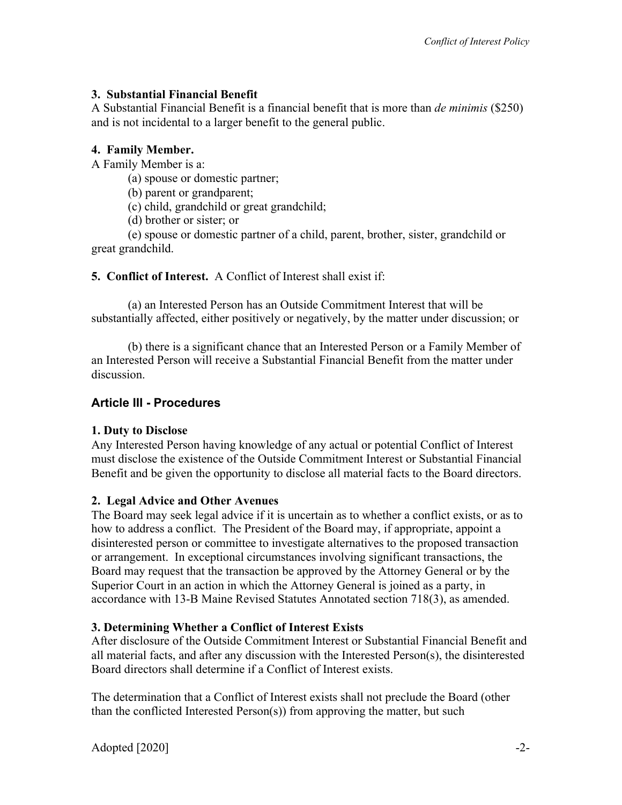## **3. Substantial Financial Benefit**

A Substantial Financial Benefit is a financial benefit that is more than *de minimis* (\$250) and is not incidental to a larger benefit to the general public.

## **4. Family Member.**

A Family Member is a:

(a) spouse or domestic partner;

(b) parent or grandparent;

(c) child, grandchild or great grandchild;

(d) brother or sister; or

(e) spouse or domestic partner of a child, parent, brother, sister, grandchild or great grandchild.

**5. Conflict of Interest.** A Conflict of Interest shall exist if:

(a) an Interested Person has an Outside Commitment Interest that will be substantially affected, either positively or negatively, by the matter under discussion; or

(b) there is a significant chance that an Interested Person or a Family Member of an Interested Person will receive a Substantial Financial Benefit from the matter under discussion.

# **Article III - Procedures**

# **1. Duty to Disclose**

Any Interested Person having knowledge of any actual or potential Conflict of Interest must disclose the existence of the Outside Commitment Interest or Substantial Financial Benefit and be given the opportunity to disclose all material facts to the Board directors.

# **2. Legal Advice and Other Avenues**

The Board may seek legal advice if it is uncertain as to whether a conflict exists, or as to how to address a conflict. The President of the Board may, if appropriate, appoint a disinterested person or committee to investigate alternatives to the proposed transaction or arrangement. In exceptional circumstances involving significant transactions, the Board may request that the transaction be approved by the Attorney General or by the Superior Court in an action in which the Attorney General is joined as a party, in accordance with 13-B Maine Revised Statutes Annotated section 718(3), as amended.

# **3. Determining Whether a Conflict of Interest Exists**

After disclosure of the Outside Commitment Interest or Substantial Financial Benefit and all material facts, and after any discussion with the Interested Person(s), the disinterested Board directors shall determine if a Conflict of Interest exists.

The determination that a Conflict of Interest exists shall not preclude the Board (other than the conflicted Interested Person(s)) from approving the matter, but such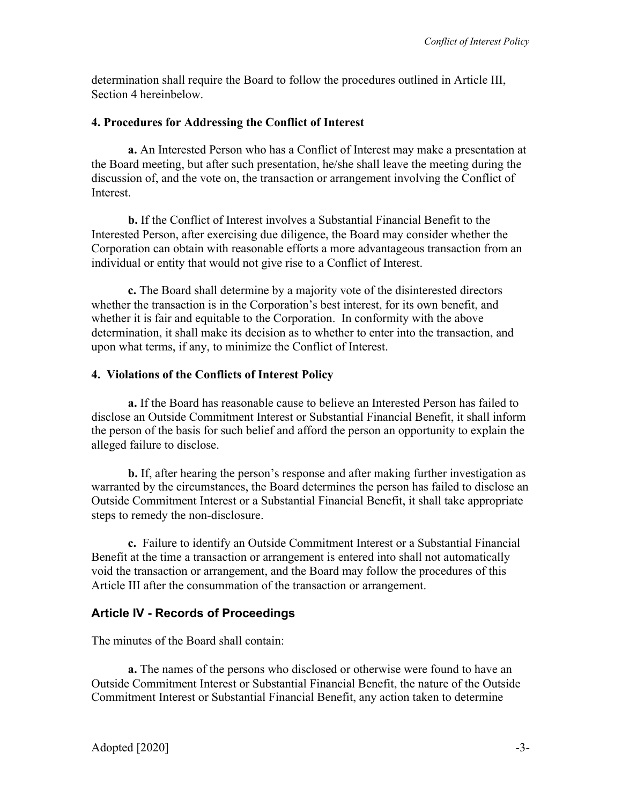determination shall require the Board to follow the procedures outlined in Article III, Section 4 hereinbelow.

#### **4. Procedures for Addressing the Conflict of Interest**

**a.** An Interested Person who has a Conflict of Interest may make a presentation at the Board meeting, but after such presentation, he/she shall leave the meeting during the discussion of, and the vote on, the transaction or arrangement involving the Conflict of **Interest.** 

**b.** If the Conflict of Interest involves a Substantial Financial Benefit to the Interested Person, after exercising due diligence, the Board may consider whether the Corporation can obtain with reasonable efforts a more advantageous transaction from an individual or entity that would not give rise to a Conflict of Interest.

**c.** The Board shall determine by a majority vote of the disinterested directors whether the transaction is in the Corporation's best interest, for its own benefit, and whether it is fair and equitable to the Corporation. In conformity with the above determination, it shall make its decision as to whether to enter into the transaction, and upon what terms, if any, to minimize the Conflict of Interest.

#### **4. Violations of the Conflicts of Interest Policy**

**a.** If the Board has reasonable cause to believe an Interested Person has failed to disclose an Outside Commitment Interest or Substantial Financial Benefit, it shall inform the person of the basis for such belief and afford the person an opportunity to explain the alleged failure to disclose.

**b.** If, after hearing the person's response and after making further investigation as warranted by the circumstances, the Board determines the person has failed to disclose an Outside Commitment Interest or a Substantial Financial Benefit, it shall take appropriate steps to remedy the non-disclosure.

**c.** Failure to identify an Outside Commitment Interest or a Substantial Financial Benefit at the time a transaction or arrangement is entered into shall not automatically void the transaction or arrangement, and the Board may follow the procedures of this Article III after the consummation of the transaction or arrangement.

### **Article IV - Records of Proceedings**

The minutes of the Board shall contain:

**a.** The names of the persons who disclosed or otherwise were found to have an Outside Commitment Interest or Substantial Financial Benefit, the nature of the Outside Commitment Interest or Substantial Financial Benefit, any action taken to determine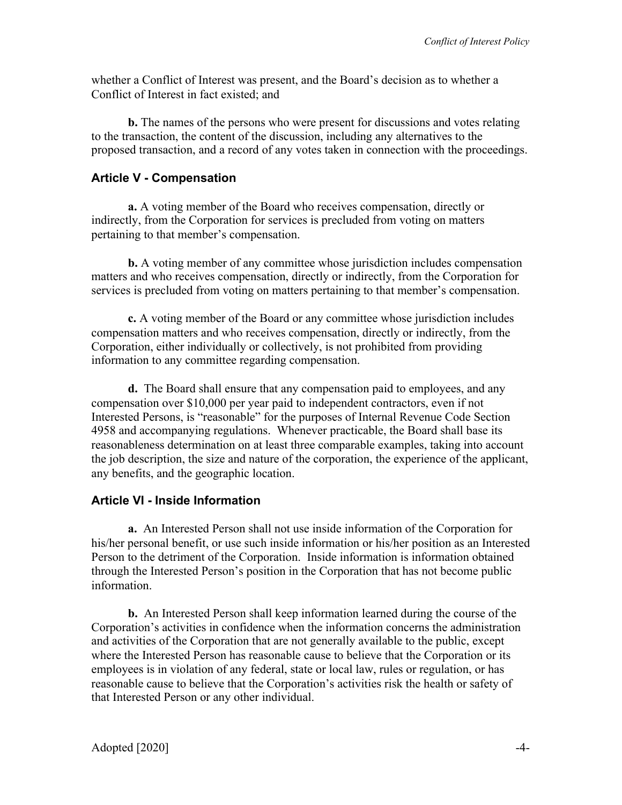whether a Conflict of Interest was present, and the Board's decision as to whether a Conflict of Interest in fact existed; and

**b.** The names of the persons who were present for discussions and votes relating to the transaction, the content of the discussion, including any alternatives to the proposed transaction, and a record of any votes taken in connection with the proceedings.

#### **Article V - Compensation**

**a.** A voting member of the Board who receives compensation, directly or indirectly, from the Corporation for services is precluded from voting on matters pertaining to that member's compensation.

**b.** A voting member of any committee whose jurisdiction includes compensation matters and who receives compensation, directly or indirectly, from the Corporation for services is precluded from voting on matters pertaining to that member's compensation.

**c.** A voting member of the Board or any committee whose jurisdiction includes compensation matters and who receives compensation, directly or indirectly, from the Corporation, either individually or collectively, is not prohibited from providing information to any committee regarding compensation.

**d.** The Board shall ensure that any compensation paid to employees, and any compensation over \$10,000 per year paid to independent contractors, even if not Interested Persons, is "reasonable" for the purposes of Internal Revenue Code Section 4958 and accompanying regulations. Whenever practicable, the Board shall base its reasonableness determination on at least three comparable examples, taking into account the job description, the size and nature of the corporation, the experience of the applicant, any benefits, and the geographic location.

#### **Article VI - Inside Information**

**a.** An Interested Person shall not use inside information of the Corporation for his/her personal benefit, or use such inside information or his/her position as an Interested Person to the detriment of the Corporation. Inside information is information obtained through the Interested Person's position in the Corporation that has not become public information.

**b.** An Interested Person shall keep information learned during the course of the Corporation's activities in confidence when the information concerns the administration and activities of the Corporation that are not generally available to the public, except where the Interested Person has reasonable cause to believe that the Corporation or its employees is in violation of any federal, state or local law, rules or regulation, or has reasonable cause to believe that the Corporation's activities risk the health or safety of that Interested Person or any other individual.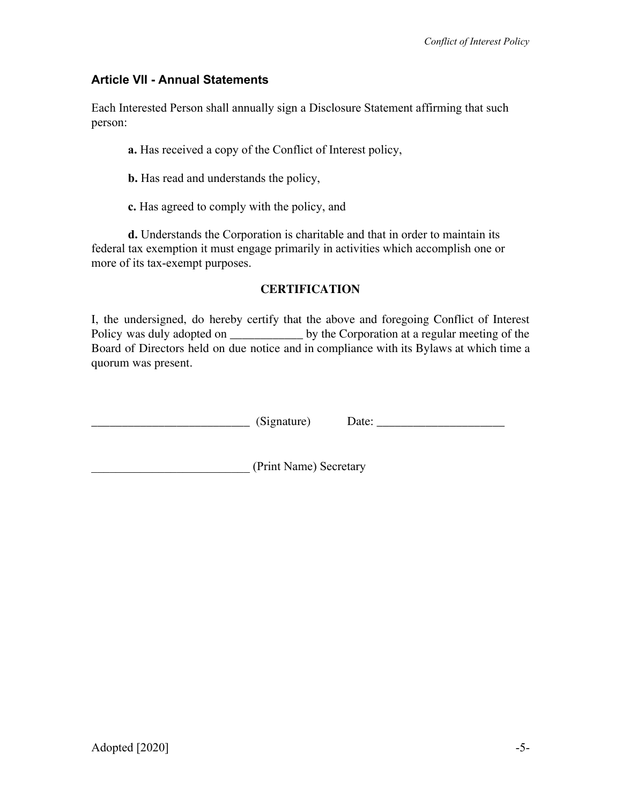## **Article VII - Annual Statements**

Each Interested Person shall annually sign a Disclosure Statement affirming that such person:

**a.** Has received a copy of the Conflict of Interest policy,

**b.** Has read and understands the policy,

**c.** Has agreed to comply with the policy, and

**d.** Understands the Corporation is charitable and that in order to maintain its federal tax exemption it must engage primarily in activities which accomplish one or more of its tax-exempt purposes.

#### **CERTIFICATION**

I, the undersigned, do hereby certify that the above and foregoing Conflict of Interest Policy was duly adopted on \_\_\_\_\_\_\_\_\_\_\_\_\_\_\_ by the Corporation at a regular meeting of the Board of Directors held on due notice and in compliance with its Bylaws at which time a quorum was present.

| (Signature |
|------------|
|            |

\_\_\_\_\_\_\_\_\_\_\_\_\_\_\_\_\_\_\_\_\_\_\_\_\_\_ (Signature) Date: \_\_\_\_\_\_\_\_\_\_\_\_\_\_\_\_\_\_\_\_\_

\_\_\_\_\_\_\_\_\_\_\_\_\_\_\_\_\_\_\_\_\_\_\_\_\_\_ (Print Name) Secretary